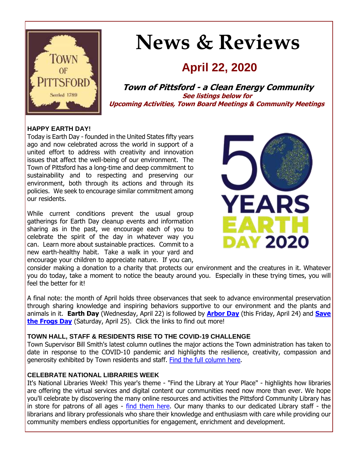

# **News & Reviews**

## **April 22, 2020**

**Town of Pittsford - a Clean Energy Community See listings below for Upcoming Activities, Town Board Meetings & Community Meetings**

#### **HAPPY EARTH DAY!**

Today is Earth Day - founded in the United States fifty years ago and now celebrated across the world in support of a united effort to address with creativity and innovation issues that affect the well-being of our environment. The Town of Pittsford has a long-time and deep commitment to sustainability and to respecting and preserving our environment, both through its actions and through its policies. We seek to encourage similar commitment among our residents.

While current conditions prevent the usual group gatherings for Earth Day cleanup events and information sharing as in the past, we encourage each of you to celebrate the spirit of the day in whatever way you can. Learn more about sustainable practices. Commit to a new earth-healthy habit. Take a walk in your yard and encourage your children to appreciate nature. If you can,



consider making a donation to a charity that protects our environment and the creatures in it. Whatever you do today, take a moment to notice the beauty around you. Especially in these trying times, you will feel the better for it!

A final note: the month of April holds three observances that seek to advance environmental preservation through sharing knowledge and inspiring behaviors supportive to our environment and the plants and animals in it. **Earth Day** (Wednesday, April 22) is followed by **[Arbor Day](http://r20.rs6.net/tn.jsp?f=001FjBO3o6saR_PcQDLBXCN4BVV2dpA8iBUkMcv8V1R7lWR0QC9WCL5bEgYsDxA_bZokgySDMEvauzT-EEYlAVyMn5Yh9_-ebPQASr9n8FjH_QxXGwcSdHkFcz_diYslxoPX7ihu1ospk304JSHOYEZBSJ5Kga6FdxzvpmDh_5_9y6MAgzUcR1xNR5AjdibyiFSo6_YnL6MqDr7bAxR-dd13ucdYb4T-15sYJ3eI56e3lRlt3ZiWHNgov1Rh-to3lBXHjOTMsXDozi3YCitt472qLAXBj4VzkyY&c=9Dto0h6g_lEjz7HR_anHKScAZF18-D_pKL72JHgW9FS4piFzfpnxRQ==&ch=rVcZFuY_RuGQHwGhb-FtJDAqLI_OG6G-8CkLF_tYIcb36CXYFZ3fOw==)** (this Friday, April 24) and **[Save](http://r20.rs6.net/tn.jsp?f=001FjBO3o6saR_PcQDLBXCN4BVV2dpA8iBUkMcv8V1R7lWR0QC9WCL5bEgYsDxA_bZog4oPOcPO08BKODTiuUU0PmjLRA5_aP0n6Uq0zKLIdqaRhxrfNJe_-hMk9XYRPkQnJ9WqtGmvOqOWaksPRL9cz_jIgzwo_qKN3hgQHiaYqN6tm8-lerHHWeffXvlyJdt2pusdAC-5_9hXLu7bYDKT15bgONmAFFPLs4srP6eRJ74NflwAOrYmRENikZc0SBQ17xwYJsNOjJaXOV0_VMHvpHHf60N3gw1MXqso_mgBifE=&c=9Dto0h6g_lEjz7HR_anHKScAZF18-D_pKL72JHgW9FS4piFzfpnxRQ==&ch=rVcZFuY_RuGQHwGhb-FtJDAqLI_OG6G-8CkLF_tYIcb36CXYFZ3fOw==)  [the Frogs Day](http://r20.rs6.net/tn.jsp?f=001FjBO3o6saR_PcQDLBXCN4BVV2dpA8iBUkMcv8V1R7lWR0QC9WCL5bEgYsDxA_bZog4oPOcPO08BKODTiuUU0PmjLRA5_aP0n6Uq0zKLIdqaRhxrfNJe_-hMk9XYRPkQnJ9WqtGmvOqOWaksPRL9cz_jIgzwo_qKN3hgQHiaYqN6tm8-lerHHWeffXvlyJdt2pusdAC-5_9hXLu7bYDKT15bgONmAFFPLs4srP6eRJ74NflwAOrYmRENikZc0SBQ17xwYJsNOjJaXOV0_VMHvpHHf60N3gw1MXqso_mgBifE=&c=9Dto0h6g_lEjz7HR_anHKScAZF18-D_pKL72JHgW9FS4piFzfpnxRQ==&ch=rVcZFuY_RuGQHwGhb-FtJDAqLI_OG6G-8CkLF_tYIcb36CXYFZ3fOw==)** (Saturday, April 25). Click the links to find out more!

#### **TOWN HALL, STAFF & RESIDENTS RISE TO THE COVID-19 CHALLENGE**

Town Supervisor Bill Smith's latest column outlines the major actions the Town administration has taken to date in response to the COVID-10 pandemic and highlights the resilience, creativity, compassion and generosity exhibited by Town residents and staff. [Find the full column here.](http://r20.rs6.net/tn.jsp?f=001FjBO3o6saR_PcQDLBXCN4BVV2dpA8iBUkMcv8V1R7lWR0QC9WCL5bEgYsDxA_bZo-pKQV1A3LGyT_r9jjs-NfiemyYlEWmpm19AwN1fLpWDPPRXC6EvFdIbGQFADHMxlD1369Lmw5Gl_YKkIFEew0T65ZSNJNds7Qv2kbLMWxfHEgCFMQtYEKht4jPzHkMaaHeY2ZZ5A5tCMz-SSS_PbSuZo7F6-b9OgpsPWNpwDo1IvSTDre60b4yX-WofQvbmKL_6kCpj-zKDJev1xhyTOq6vgSZ7fFJOotDULhgLLKEmZS865EQ4x_klfPaJpc4wxGYIlQXLMSqEPAjZ6wGer6vsXx1bTUY7m2pDyQNx9qq1Bt6DG7bQWWKwdmYaS2Aza_PIqttia682RPrUGmZB7sRp7uHv7TU90&c=9Dto0h6g_lEjz7HR_anHKScAZF18-D_pKL72JHgW9FS4piFzfpnxRQ==&ch=rVcZFuY_RuGQHwGhb-FtJDAqLI_OG6G-8CkLF_tYIcb36CXYFZ3fOw==)

#### **CELEBRATE NATIONAL LIBRARIES WEEK**

It's National Libraries Week! This year's theme - "Find the Library at Your Place" - highlights how libraries are offering the virtual services and digital content our communities need now more than ever. We hope you'll celebrate by discovering the many online resources and activities the Pittsford Community Library has in store for patrons of all ages - [find them here.](http://r20.rs6.net/tn.jsp?f=001FjBO3o6saR_PcQDLBXCN4BVV2dpA8iBUkMcv8V1R7lWR0QC9WCL5bMsUlLbWvYKcV0umV1Pe-xg22lqAHr3GsRAmb5sJG_yFEluHT7cPb3n8lG0rNGiYkXyAtefl_aJPC3HIxjrxZ1-ATu0UFTSwf745bd7-8LVTteX4bhvXfE3VHliTY-mFLPbsG4Sc9YBQl_LPvmdsyaJdEvehJO4EFvLqc7vezLnSWKEb_DoN2GoDl2dJvBkEn_7A1IDJi7mM6skZXRiMgFt5t11Aags5AML2M4a9Eiblern8eQ4HXzjILrU26bwG1w==&c=9Dto0h6g_lEjz7HR_anHKScAZF18-D_pKL72JHgW9FS4piFzfpnxRQ==&ch=rVcZFuY_RuGQHwGhb-FtJDAqLI_OG6G-8CkLF_tYIcb36CXYFZ3fOw==) Our many thanks to our dedicated Library staff - the librarians and library professionals who share their knowledge and enthusiasm with care while providing our community members endless opportunities for engagement, enrichment and development.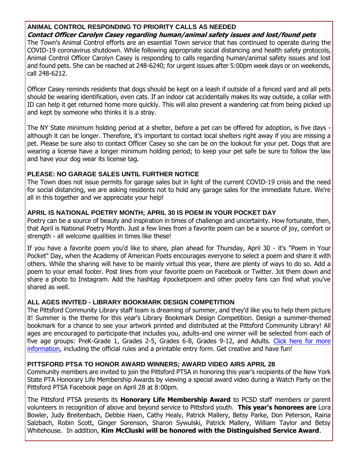## **ANIMAL CONTROL RESPONDING TO PRIORITY CALLS AS NEEDED**

#### **Contact Officer Carolyn Casey regarding human/animal safety issues and lost/found pets**

The Town's Animal Control efforts are an essential Town service that has continued to operate during the COVID-19 coronavirus shutdown. While following appropriate social distancing and health safety protocols, Animal Control Officer Carolyn Casey is responding to calls regarding human/animal safety issues and lost and found pets. She can be reached at 248-6240; for urgent issues after 5:00pm week days or on weekends, call 248-6212.

Officer Casey reminds residents that dogs should be kept on a leash if outside of a fenced yard and all pets should be wearing identification, even cats. If an indoor cat accidentally makes its way outside, a collar with ID can help it get returned home more quickly. This will also prevent a wandering cat from being picked up and kept by someone who thinks it is a stray.

The NY State minimum holding period at a shelter, before a pet can be offered for adoption, is five days although it can be longer. Therefore, it's important to contact local shelters right away if you are missing a pet. Please be sure also to contact Officer Casey so she can be on the lookout for your pet. Dogs that are wearing a license have a longer minimum holding period; to keep your pet safe be sure to follow the law and have your dog wear its license tag.

#### **PLEASE: NO GARAGE SALES UNTIL FURTHER NOTICE**

The Town does not issue permits for garage sales but in light of the current COVID-19 crisis and the need for social distancing, we are asking residents not to hold any garage sales for the immediate future. We're all in this together and we appreciate your help!

#### **APRIL IS NATIONAL POETRY MONTH; APRIL 30 IS POEM IN YOUR POCKET DAY**

Poetry can be a source of beauty and inspiration in times of challenge and uncertainty. How fortunate, then, that April is National Poetry Month. Just a few lines from a favorite poem can be a source of joy, comfort or strength - all welcome qualities in times like these!

If you have a favorite poem you'd like to share, plan ahead for Thursday, April 30 - it's "Poem in Your Pocket" Day, when the Academy of American Poets encourages everyone to select a poem and share it with others. While the sharing will have to be mainly virtual this year, there are plenty of ways to do so. Add a poem to your email footer. Post lines from your favorite poem on Facebook or Twitter. Jot them down and share a photo to Instagram. Add the hashtag #pocketpoem and other poetry fans can find what you've shared as well.

#### **ALL AGES INVITED - LIBRARY BOOKMARK DESIGN COMPETITION**

The Pittsford Community Library staff team is dreaming of summer, and they'd like you to help them picture it! Summer is the theme for this year's Library Bookmark Design Competition. Design a summer-themed bookmark for a chance to see your artwork printed and distributed at the Pittsford Community Library! All ages are encouraged to participate-that includes you, adults-and one winner will be selected from each of five age groups: PreK-Grade 1, Grades 2-5, Grades 6-8, Grades 9-12, and Adults. [Click here for more](http://r20.rs6.net/tn.jsp?f=001FjBO3o6saR_PcQDLBXCN4BVV2dpA8iBUkMcv8V1R7lWR0QC9WCL5bEgYsDxA_bZogTwU5AS_ttPqwacVSb3sK36FHklsvdJrsLD0W5i2gNbq9HCxJ821NKqwpYTcteGnPI2ruhPwzQTOBEza9DXeMIG1E-0SarthYeyH7HciulHXKB6Y4RVYIQoddyGlMDg_QarWbLlAKIXR-QNZtve2Zr4TLYYl4rwH73dXmnzLs_vfdrr5Apj0SzDu7dq_FfTI3-SvgnHk6d8GB856JurYckxPuyjND6HNIVTX0VBISNb1JrxhmuLhgr68Kpnl0EQ3mxXzb5scJK7k1KOynkXQTPYdtR8EFxPWj3Aw_fpRmUqZ0EfyLMB5cI5ilFBcLg7hUAUPRorANE4-A0Z_haxhlVA_NYsQJVowyfvMkpGIQIRA1CEk4fO0x9eIvkWVa0DLS2foSSwtHg5T49n-lIuh5XP3PYbkiIib1Ulo-rza2-Y=&c=9Dto0h6g_lEjz7HR_anHKScAZF18-D_pKL72JHgW9FS4piFzfpnxRQ==&ch=rVcZFuY_RuGQHwGhb-FtJDAqLI_OG6G-8CkLF_tYIcb36CXYFZ3fOw==)  [information,](http://r20.rs6.net/tn.jsp?f=001FjBO3o6saR_PcQDLBXCN4BVV2dpA8iBUkMcv8V1R7lWR0QC9WCL5bEgYsDxA_bZogTwU5AS_ttPqwacVSb3sK36FHklsvdJrsLD0W5i2gNbq9HCxJ821NKqwpYTcteGnPI2ruhPwzQTOBEza9DXeMIG1E-0SarthYeyH7HciulHXKB6Y4RVYIQoddyGlMDg_QarWbLlAKIXR-QNZtve2Zr4TLYYl4rwH73dXmnzLs_vfdrr5Apj0SzDu7dq_FfTI3-SvgnHk6d8GB856JurYckxPuyjND6HNIVTX0VBISNb1JrxhmuLhgr68Kpnl0EQ3mxXzb5scJK7k1KOynkXQTPYdtR8EFxPWj3Aw_fpRmUqZ0EfyLMB5cI5ilFBcLg7hUAUPRorANE4-A0Z_haxhlVA_NYsQJVowyfvMkpGIQIRA1CEk4fO0x9eIvkWVa0DLS2foSSwtHg5T49n-lIuh5XP3PYbkiIib1Ulo-rza2-Y=&c=9Dto0h6g_lEjz7HR_anHKScAZF18-D_pKL72JHgW9FS4piFzfpnxRQ==&ch=rVcZFuY_RuGQHwGhb-FtJDAqLI_OG6G-8CkLF_tYIcb36CXYFZ3fOw==) including the official rules and a printable entry form. Get creative and have fun!

#### **PITTSFORD PTSA TO HONOR AWARD WINNERS; AWARD VIDEO AIRS APRIL 28**

Community members are invited to join the Pittsford PTSA in honoring this year's recipients of the New York State PTA Honorary Life Membership Awards by viewing a special award video during a Watch Party on the Pittsford PTSA Facebook page on April 28 at 8:00pm.

The Pittsford PTSA presents its **Honorary Life Membership Award** to PCSD staff members or parent volunteers in recognition of above and beyond service to Pittsford youth. **This year's honorees are** Lora Bowler, Judy Breitenbach, Debbie Haen, Cathy Healy, Patrick Mallery, Betsy Parke, Don Peterson, Raina Salzbach, Robin Scott, Ginger Sorenson, Sharon Sywulski, Patrick Mallery, William Taylor and Betsy Whitehouse. In addition, **Kim McCluski will be honored with the Distinguished Service Award**.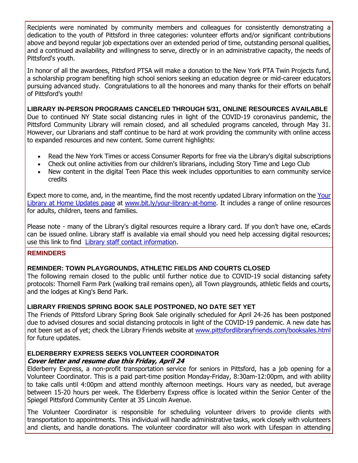Recipients were nominated by community members and colleagues for consistently demonstrating a dedication to the youth of Pittsford in three categories: volunteer efforts and/or significant contributions above and beyond regular job expectations over an extended period of time, outstanding personal qualities, and a continued availability and willingness to serve, directly or in an administrative capacity, the needs of Pittsford's youth.

In honor of all the awardees, Pittsford PTSA will make a donation to the New York PTA Twin Projects fund, a scholarship program benefiting high school seniors seeking an education degree or mid-career educators pursuing advanced study. Congratulations to all the honorees and many thanks for their efforts on behalf of Pittsford's youth!

**LIBRARY IN-PERSON PROGRAMS CANCELED THROUGH 5/31, ONLINE RESOURCES AVAILABLE** Due to continued NY State social distancing rules in light of the COVID-19 coronavirus pandemic, the Pittsford Community Library will remain closed, and all scheduled programs canceled, through May 31. However, our Librarians and staff continue to be hard at work providing the community with online access to expanded resources and new content. Some current highlights:

- Read the New York Times or access Consumer Reports for free via the Library's digital subscriptions
- Check out online activities from our children's librarians, including Story Time and Lego Club
- New content in the digital Teen Place this week includes opportunities to earn community service credits

Expect more to come, and, in the meantime, find the most recently updated Library information on the [Your](http://r20.rs6.net/tn.jsp?f=001FjBO3o6saR_PcQDLBXCN4BVV2dpA8iBUkMcv8V1R7lWR0QC9WCL5bMsUlLbWvYKcV0umV1Pe-xg22lqAHr3GsRAmb5sJG_yFEluHT7cPb3n8lG0rNGiYkXyAtefl_aJPC3HIxjrxZ1-ATu0UFTSwf745bd7-8LVTteX4bhvXfE3VHliTY-mFLPbsG4Sc9YBQl_LPvmdsyaJdEvehJO4EFvLqc7vezLnSWKEb_DoN2GoDl2dJvBkEn_7A1IDJi7mM6skZXRiMgFt5t11Aags5AML2M4a9Eiblern8eQ4HXzjILrU26bwG1w==&c=9Dto0h6g_lEjz7HR_anHKScAZF18-D_pKL72JHgW9FS4piFzfpnxRQ==&ch=rVcZFuY_RuGQHwGhb-FtJDAqLI_OG6G-8CkLF_tYIcb36CXYFZ3fOw==)  [Library at Home Updates page](http://r20.rs6.net/tn.jsp?f=001FjBO3o6saR_PcQDLBXCN4BVV2dpA8iBUkMcv8V1R7lWR0QC9WCL5bMsUlLbWvYKcV0umV1Pe-xg22lqAHr3GsRAmb5sJG_yFEluHT7cPb3n8lG0rNGiYkXyAtefl_aJPC3HIxjrxZ1-ATu0UFTSwf745bd7-8LVTteX4bhvXfE3VHliTY-mFLPbsG4Sc9YBQl_LPvmdsyaJdEvehJO4EFvLqc7vezLnSWKEb_DoN2GoDl2dJvBkEn_7A1IDJi7mM6skZXRiMgFt5t11Aags5AML2M4a9Eiblern8eQ4HXzjILrU26bwG1w==&c=9Dto0h6g_lEjz7HR_anHKScAZF18-D_pKL72JHgW9FS4piFzfpnxRQ==&ch=rVcZFuY_RuGQHwGhb-FtJDAqLI_OG6G-8CkLF_tYIcb36CXYFZ3fOw==) at [www.bit.ly/your-library-at-home.](http://r20.rs6.net/tn.jsp?f=001FjBO3o6saR_PcQDLBXCN4BVV2dpA8iBUkMcv8V1R7lWR0QC9WCL5bMsUlLbWvYKcV0umV1Pe-xg22lqAHr3GsRAmb5sJG_yFEluHT7cPb3n8lG0rNGiYkXyAtefl_aJPC3HIxjrxZ1-ATu0UFTSwf745bd7-8LVTteX4bhvXfE3VHliTY-mFLPbsG4Sc9YBQl_LPvmdsyaJdEvehJO4EFvLqc7vezLnSWKEb_DoN2GoDl2dJvBkEn_7A1IDJi7mM6skZXRiMgFt5t11Aags5AML2M4a9Eiblern8eQ4HXzjILrU26bwG1w==&c=9Dto0h6g_lEjz7HR_anHKScAZF18-D_pKL72JHgW9FS4piFzfpnxRQ==&ch=rVcZFuY_RuGQHwGhb-FtJDAqLI_OG6G-8CkLF_tYIcb36CXYFZ3fOw==) It includes a range of online resources for adults, children, teens and families.

Please note - many of the Library's digital resources require a library card. If you don't have one, eCards can be issued online. Library staff is available via email should you need help accessing digital resources; use this link to find [Library staff contact information.](http://r20.rs6.net/tn.jsp?f=001FjBO3o6saR_PcQDLBXCN4BVV2dpA8iBUkMcv8V1R7lWR0QC9WCL5bEgYsDxA_bZoGRV-JuW4UUGbpUXV8_y2fEOxPXr1IjlJ4Dv2BON6gzZSTpixHtZLZcHR7iIZN8ZOhtyCRGNvRhjDljAhnx_oBT3yU8NQBttSSJxaBYIrWQXSpfOE8Pu92E4GfmDHguCKeg4DkpqcT-mSwdTudMBfzJ9XqOR_HVt5r99doSV_oijxhVi3XyhSxxBb_fyHwFR2ekyxXQ9DZ6597T7rXWNhwOLAWGZ0BnNRRS1JqLNH0qT9H7StxmUxq8eYvBuQB2sZ9jTFbAh15juq07IBDnrQ4w==&c=9Dto0h6g_lEjz7HR_anHKScAZF18-D_pKL72JHgW9FS4piFzfpnxRQ==&ch=rVcZFuY_RuGQHwGhb-FtJDAqLI_OG6G-8CkLF_tYIcb36CXYFZ3fOw==)

#### **REMINDERS**

#### **REMINDER: TOWN PLAYGROUNDS, ATHLETIC FIELDS AND COURTS CLOSED**

The following remain closed to the public until further notice due to COVID-19 social distancing safety protocols: Thornell Farm Park (walking trail remains open), all Town playgrounds, athletic fields and courts, and the lodges at King's Bend Park.

#### **LIBRARY FRIENDS SPRING BOOK SALE POSTPONED, NO DATE SET YET**

The Friends of Pittsford Library Spring Book Sale originally scheduled for April 24-26 has been postponed due to advised closures and social distancing protocols in light of the COVID-19 pandemic. A new date has not been set as of yet; check the Library Friends website at [www.pittsfordlibraryfriends.com/booksales.html](http://r20.rs6.net/tn.jsp?f=001FjBO3o6saR_PcQDLBXCN4BVV2dpA8iBUkMcv8V1R7lWR0QC9WCL5bBe2RJMYFbWzdbvwfKET2bHfUyADMBYo5FznDcnrf_QloFaW3V2wP4V5STtphr6kMylOGVcFHYjP_BtaOt9c1XzMV9_3au9BG2looK4LelbeXT1XY9GbQV5f5odVcxtnTuomGHoK9ImZ0AMjkRYYxAWZ19ZaF9jJhQtjjSasHtZKRCqAfHHgtQPmqG0LCD0XGmZ335rX2ifVab2NwVClvtjHxDaqWnQLa_2CkkfOmcNB4CfbiE_9-XHCLV83WyK7ZYrOuyciwqGE_id8HmmJfSI=&c=9Dto0h6g_lEjz7HR_anHKScAZF18-D_pKL72JHgW9FS4piFzfpnxRQ==&ch=rVcZFuY_RuGQHwGhb-FtJDAqLI_OG6G-8CkLF_tYIcb36CXYFZ3fOw==) for future updates.

#### **ELDERBERRY EXPRESS SEEKS VOLUNTEER COORDINATOR Cover letter and resume due this Friday, April 24**

Elderberry Express, a non-profit transportation service for seniors in Pittsford, has a job opening for a Volunteer Coordinator. This is a paid part-time position Monday-Friday, 8:30am-12:00pm, and with ability to take calls until 4:00pm and attend monthly afternoon meetings. Hours vary as needed, but average between 15-20 hours per week. The Elderberry Express office is located within the Senior Center of the Spiegel Pittsford Community Center at 35 Lincoln Avenue.

The Volunteer Coordinator is responsible for scheduling volunteer drivers to provide clients with transportation to appointments. This individual will handle administrative tasks, work closely with volunteers and clients, and handle donations. The volunteer coordinator will also work with Lifespan in attending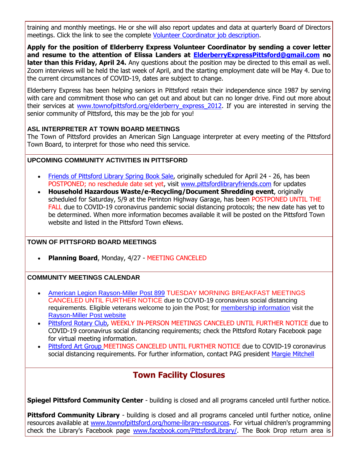training and monthly meetings. He or she will also report updates and data at quarterly Board of Directors meetings. Click the link to see the complete [Volunteer Coordinator job description.](http://r20.rs6.net/tn.jsp?f=001FjBO3o6saR_PcQDLBXCN4BVV2dpA8iBUkMcv8V1R7lWR0QC9WCL5bMZmOdKnZhhe-KDhByCbatN8ZN6C27lt8nlCL9qE2kwiqg4HvSSFHmqMqoxW6be2Zs4SnfvgyMDpmABUbZHh7xuHdQGUkd_63ZkWLr2CTygpCdI9Gmb1jBwV98F50kDDSEcKf3oWEA-QxTbqczQe8ODQrh-w37MR0XEL2ZytIWroGrg3nhWNO1c-RXuijG90i_htoycbgdXveN2zHYSPFxJKRe9FPfzSMy9DWbJB3_tE94z2zfbuhl9qnm0AqKLc5ZZLqxrNn4atzhrQfTguLMRVEjq49f5n263Ek69LSzReffVa5MTgv4zRyyRGT7nfVopzK3pL98G-&c=9Dto0h6g_lEjz7HR_anHKScAZF18-D_pKL72JHgW9FS4piFzfpnxRQ==&ch=rVcZFuY_RuGQHwGhb-FtJDAqLI_OG6G-8CkLF_tYIcb36CXYFZ3fOw==)

**Apply for the position of Elderberry Express Volunteer Coordinator by sending a cover letter and resume to the attention of Elissa Landers at [ElderberryExpressPittsford@gmail.com](mailto:ElderberryExpressPittsford@gmail.com?subject=Volunteer%20Coordinator%20position) no later than this Friday, April 24.** Any questions about the position may be directed to this email as well. Zoom interviews will be held the last week of April, and the starting employment date will be May 4. Due to the current circumstances of COVID-19, dates are subject to change.

Elderberry Express has been helping seniors in Pittsford retain their independence since 1987 by serving with care and commitment those who can get out and about but can no longer drive. Find out more about their services at www.townofpittsford.org/elderberry express 2012. If you are interested in serving the senior community of Pittsford, this may be the job for you!

#### **ASL INTERPRETER AT TOWN BOARD MEETINGS**

The Town of Pittsford provides an American Sign Language interpreter at every meeting of the Pittsford Town Board, to interpret for those who need this service.

#### **UPCOMING COMMUNITY ACTIVITIES IN PITTSFORD**

- [Friends of Pittsford Library Spring Book Sale,](http://r20.rs6.net/tn.jsp?f=001FjBO3o6saR_PcQDLBXCN4BVV2dpA8iBUkMcv8V1R7lWR0QC9WCL5bDxMtmt05s1Qm0NNkydGDZEkzerU7geIEdvXF5d6KUDUpAw9_Us8_K3FKcEQmIj-_Yv4h6nRmM53op3OvOFbZ_hiyw2iQJ2yIy-oNDyX9rsng0a3GYPJ5gFSLB6gnPfEKNEUZ2q4GT09PkY7VPrP1kDFRkrDQeLgeEBlgGLeC4WJm8sn83uGzind829vQ8W18WcEikqAID4SHn1zPQ_5LFf1oW7V-fiJBmg0NIo7-igx30pn-mFVYqG7gbvxo_Ryz4Xlp4WvzfBP&c=9Dto0h6g_lEjz7HR_anHKScAZF18-D_pKL72JHgW9FS4piFzfpnxRQ==&ch=rVcZFuY_RuGQHwGhb-FtJDAqLI_OG6G-8CkLF_tYIcb36CXYFZ3fOw==) originally scheduled for April 24 26, has been POSTPONED; no reschedule date set yet, visit [www.pittsfordlibraryfriends.com](http://r20.rs6.net/tn.jsp?f=001FjBO3o6saR_PcQDLBXCN4BVV2dpA8iBUkMcv8V1R7lWR0QC9WCL5bDxMtmt05s1QY8SHcXY4OVCdZRxoprnB_yAHlw3bXeKOhcoo5RuQnsyTW4p79GLjBurvuijnIMIbRvPJmE7wUvf-JvOH9DKjJIR8wr7JCNWPYDcRqsTDRhMZRFMhWaF98lBEw21a-hWMIiKlGCIXqqovBQMKqfaPsOjWVgBaxYQIbF7yl9hoNtjTYvGigoHByg01L0DruB-AynkhvLV58Ttg28ExHvtJBEeYcbTxN-_5Ozc2GKMyznsvCuU_c56ATQ==&c=9Dto0h6g_lEjz7HR_anHKScAZF18-D_pKL72JHgW9FS4piFzfpnxRQ==&ch=rVcZFuY_RuGQHwGhb-FtJDAqLI_OG6G-8CkLF_tYIcb36CXYFZ3fOw==) for updates
- **Household Hazardous Waste/e-Recycling/Document Shredding event**, originally scheduled for Saturday, 5/9 at the Perinton Highway Garage, has been POSTPONED UNTIL THE FALL due to COVID-19 coronavirus pandemic social distancing protocols; the new date has yet to be determined. When more information becomes available it will be posted on the Pittsford Town website and listed in the Pittsford Town eNews.

#### **TOWN OF PITTSFORD BOARD MEETINGS**

**Planning Board**, Monday, 4/27 - MEETING CANCELED

#### **COMMUNITY MEETINGS CALENDAR**

- [American Legion Rayson-Miller Post 899](http://r20.rs6.net/tn.jsp?f=001FjBO3o6saR_PcQDLBXCN4BVV2dpA8iBUkMcv8V1R7lWR0QC9WCL5bFzDqy-c4bgWkVI8rRzfHoWE2uKsjht-JOIQ10S2ZuXkGUD-Fv4VATNPyPvzWLeKgFM4i-NFtTEfyCTwv_EHOJXoMaYJQdotNSqCu3CRhTmO6R2wu6O2028Fsbv0xsERhnbTwMsv_PXkzavPCcFGTTCcZydVW17Cc0EZ1cItYLO1b_ZdCLMMeQrGKOZrV_3ClxfPiXu1FmAzRbWIOXbl2LkizjVoCPwqcA02aP0wEClaeGGrMHrI5k_PFsI8zNNw_A==&c=9Dto0h6g_lEjz7HR_anHKScAZF18-D_pKL72JHgW9FS4piFzfpnxRQ==&ch=rVcZFuY_RuGQHwGhb-FtJDAqLI_OG6G-8CkLF_tYIcb36CXYFZ3fOw==) TUESDAY MORNING BREAKFAST MEETINGS CANCELED UNTIL FURTHER NOTICE due to COVID-19 coronavirus social distancing requirements. Eligible veterans welcome to join the Post; for [membership information](http://r20.rs6.net/tn.jsp?f=001FjBO3o6saR_PcQDLBXCN4BVV2dpA8iBUkMcv8V1R7lWR0QC9WCL5bFzDqy-c4bgWlg1XEnvXUzKSGoBHqwnQYriN4ImvQnptIH39n9rfv8NBDMuHbGzqS6PfHLiI-rb6vEGjkAkkhmhPc11ZqNuamRRl2yfKvSvOveMyMG8x7Ada4CEYkfpPNeMzbAq751VzLzQL7YYhlbnJrG09Q6R-nyEPfQDSkeikfHwTnRCykIsVguDKaz1vrY5NbDEMHoLMDcIo20z6HfAimAH0FXWbreoImBTDY_HiA9QGhruVykbBVKBO9Lmb9U82mtvnt-wLcIe1xEARnUY=&c=9Dto0h6g_lEjz7HR_anHKScAZF18-D_pKL72JHgW9FS4piFzfpnxRQ==&ch=rVcZFuY_RuGQHwGhb-FtJDAqLI_OG6G-8CkLF_tYIcb36CXYFZ3fOw==) visit the [Rayson-Miller Post website](http://r20.rs6.net/tn.jsp?f=001FjBO3o6saR_PcQDLBXCN4BVV2dpA8iBUkMcv8V1R7lWR0QC9WCL5bCocWTO1UjSh8lr3QxhHNI6Kh5yXb430h3VZ1RYvX_vbpunZtUBstVYmHD6nB4_ivYRlsohKojEgl9nyAVFf1Coc4a6jMfuY2Tph8-Ho7OFBG6GxnE6dtuI1HQxEkWD6es6rApKqr_PD25roRc2bgKev_CtvSLiyLtE4OpasF0xbj5ValwR_DlPLtSfB2e3p3WuBxl3ZjQGBn-blwciBr8MtrZMb6B5-nhgFPLcu1tuI2T8NKWp-bXHGdCB4fO2AlgNPfP0Yv5HqIsIf0kDOKNM6beG_wWuZyMUCpAU8qI28dmE85fTQTV60XCLUQuF1xCDjFn0kpN68j-GF5KWXtcI=&c=9Dto0h6g_lEjz7HR_anHKScAZF18-D_pKL72JHgW9FS4piFzfpnxRQ==&ch=rVcZFuY_RuGQHwGhb-FtJDAqLI_OG6G-8CkLF_tYIcb36CXYFZ3fOw==)
- [Pittsford Rotary Club,](http://r20.rs6.net/tn.jsp?f=001FjBO3o6saR_PcQDLBXCN4BVV2dpA8iBUkMcv8V1R7lWR0QC9WCL5bIOoFbmAnFVQmPKhDw3AexvoJQmQHUH5s_wCdKrFxxrZekT5D6J6zKQkMJHYMTmuEBDOxE3uII0coeiO-PMq3Cl6MIuviC2UABZMFAj45j6jkjvlBOUcwcYDSMBQemt7PjdL46WltMrko06NfYUzBei1PVQmzeMDNzeu-rXqwj1dGJmpJhxz7qAI6ER26X8gE2h664htqof8hmJi_dZ24jKgw21c0Ssu-Ol6N7qOfsayiHqlzB7Zt-Q=&c=9Dto0h6g_lEjz7HR_anHKScAZF18-D_pKL72JHgW9FS4piFzfpnxRQ==&ch=rVcZFuY_RuGQHwGhb-FtJDAqLI_OG6G-8CkLF_tYIcb36CXYFZ3fOw==) WEEKLY IN-PERSON MEETINGS CANCELED UNTIL FURTHER NOTICE due to COVID-19 coronavirus social distancing requirements; check the Pittsford Rotary Facebook page for virtual meeting information.
- [Pittsford Art Group M](https://pittsfordartgroup.wordpress.com/?utm_source=eNews+4-22-20&utm_campaign=eNews+04-22-20&utm_medium=email)EETINGS CANCELED UNTIL FURTHER NOTICE due to COVID-19 coronavirus social distancing requirements. For further information, contact PAG president [Margie Mitchell](mailto:mhsmitchell@gmail.com?subject=Pittsford%20Art%20Group%20Meetings%20and%20Membership)

## **Town Facility Closures**

**Spiegel Pittsford Community Center** - building is closed and all programs canceled until further notice.

**Pittsford Community Library** - building is closed and all programs canceled until further notice, online resources available at [www.townofpittsford.org/home-library-resources.](http://r20.rs6.net/tn.jsp?f=001FjBO3o6saR_PcQDLBXCN4BVV2dpA8iBUkMcv8V1R7lWR0QC9WCL5bG5KUYbKWHDHl0HfUfP_cxF_mAIy_wCMgn1dhb2bLUCJn2Srr5LtpnQ1zEXauUz20ViadZ6wgh0K2OfQOK9PO3c2_g3PYFFe8BDnZxz6aj_CapEtfE8mRy2M5MkG_SaFV7RtgN4skgveokqTiKeTDD58ZUwkOiD12NAJAliljGeZQ_oUQL80ZwTjnRqHj_VMjXG0it2rh7Dn5EjgxEG3giRQ25scFdvXWGUTUSvYNoKhtj1K_CPcI-kwe3QFJhBoG56dFlNoHM31EXHjDz2HI-c=&c=9Dto0h6g_lEjz7HR_anHKScAZF18-D_pKL72JHgW9FS4piFzfpnxRQ==&ch=rVcZFuY_RuGQHwGhb-FtJDAqLI_OG6G-8CkLF_tYIcb36CXYFZ3fOw==) For virtual children's programming check the Library's Facebook page [www.facebook.com/PittsfordLibrary/.](http://r20.rs6.net/tn.jsp?f=001FjBO3o6saR_PcQDLBXCN4BVV2dpA8iBUkMcv8V1R7lWR0QC9WCL5bJdYwDk94-NEi4yhJWirksvF5_GiXOBTwR-uwatX-jjnFRRZtZpACUj4RMWrCWZLydapxYGjinHHZxD7ZexRapyQN2pXCpr47ZBf9xZLyaJeoPQEVnbvilwSwzX0sf34o97SdTWVJDfktLeQE3sUig8=&c=9Dto0h6g_lEjz7HR_anHKScAZF18-D_pKL72JHgW9FS4piFzfpnxRQ==&ch=rVcZFuY_RuGQHwGhb-FtJDAqLI_OG6G-8CkLF_tYIcb36CXYFZ3fOw==) The Book Drop return area is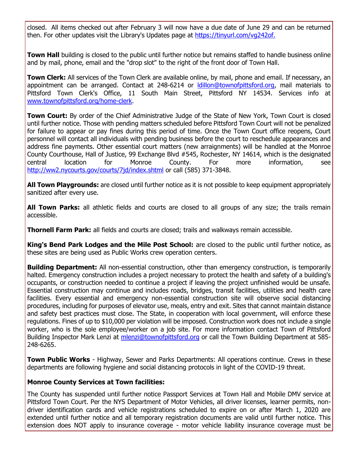closed. All items checked out after February 3 will now have a due date of June 29 and can be returned then. For other updates visit the Library's Updates page at [https://tinyurl.com/vg242of.](http://r20.rs6.net/tn.jsp?f=001FjBO3o6saR_PcQDLBXCN4BVV2dpA8iBUkMcv8V1R7lWR0QC9WCL5bJdYwDk94-NEBXKLHt23T9j9Af21HB2-KyvoH0MOog75zIKzaGArHNOR8jsiumLv4VMGlOqOAj1VOinzbgVFnbBP0iC3JRadFrJ_DrEXRUsAdbByW_wD9g4cJY86occs6Q==&c=9Dto0h6g_lEjz7HR_anHKScAZF18-D_pKL72JHgW9FS4piFzfpnxRQ==&ch=rVcZFuY_RuGQHwGhb-FtJDAqLI_OG6G-8CkLF_tYIcb36CXYFZ3fOw==)

**Town Hall** building is closed to the public until further notice but remains staffed to handle business online and by mail, phone, email and the "drop slot" to the right of the front door of Town Hall.

**Town Clerk:** All services of the Town Clerk are available online, by mail, phone and email. If necessary, an appointment can be arranged. Contact at 248-6214 or [ldillon@townofpittsford.org,](mailto:ldillon@townofpittsford.org) mail materials to Pittsford Town Clerk's Office, 11 South Main Street, Pittsford NY 14534. Services info at [www.townofpittsford.org/home-clerk.](http://r20.rs6.net/tn.jsp?f=001FjBO3o6saR_PcQDLBXCN4BVV2dpA8iBUkMcv8V1R7lWR0QC9WCL5bG5KUYbKWHDHXCYk_HNvf_o_oLrVk6J0y6NRPrmojpld4qlwt0YAPRV_khEyqEI3UfFxPUqTJGhTelNOiOxSX0Le9KnffPxN6XsKKF2K2D3cUbFolgvbkJ2_NDDrAL1NrLpMOy5uSayQrCPny802FVYi8O45TqsYf3mUm7UvvR28KwGXO62DLAftf_hMUQWPaXfZvKgNAtT420B5Rtk6xcHM8OzHS5OB7IAy1OyF4GllT6VcuqgRnGiraX62OZRpIQ==&c=9Dto0h6g_lEjz7HR_anHKScAZF18-D_pKL72JHgW9FS4piFzfpnxRQ==&ch=rVcZFuY_RuGQHwGhb-FtJDAqLI_OG6G-8CkLF_tYIcb36CXYFZ3fOw==)

**Town Court:** By order of the Chief Administrative Judge of the State of New York, Town Court is closed until further notice. Those with pending matters scheduled before Pittsford Town Court will not be penalized for failure to appear or pay fines during this period of time. Once the Town Court office reopens, Court personnel will contact all individuals with pending business before the court to reschedule appearances and address fine payments. Other essential court matters (new arraignments) will be handled at the Monroe County Courthouse, Hall of Justice, 99 Exchange Blvd #545, Rochester, NY 14614, which is the designated central location for Monroe County. For more information, see [http://ww2.nycourts.gov/courts/7jd/index.shtml](http://r20.rs6.net/tn.jsp?f=001FjBO3o6saR_PcQDLBXCN4BVV2dpA8iBUkMcv8V1R7lWR0QC9WCL5bMZmOdKnZhheqqgQSx14ShRjivH328mkAkWoKZCOoaOmQcP7OW06cTYvMH3oquN-U9YKERq-sY8vMS5jxax5fg1BmJy-ZBh-jifcSiSK2A2YcaWHv3av3giBi3_oo0ovQFBP8xnrgyuFPFlJzmZKavZXesfixmFqGtF31orCiMAwEtlYIzNzxyDcNupvL1hwdZYJV1SCoKbaEpbqdR1R0bmIPbjFIB3zYWZLvbO9NhR_y0wRhY7ctDchhBK4Bc6nmIStIqzuXgvk&c=9Dto0h6g_lEjz7HR_anHKScAZF18-D_pKL72JHgW9FS4piFzfpnxRQ==&ch=rVcZFuY_RuGQHwGhb-FtJDAqLI_OG6G-8CkLF_tYIcb36CXYFZ3fOw==) or call (585) 371-3848.

**All Town Playgrounds:** are closed until further notice as it is not possible to keep equipment appropriately sanitized after every use.

**All Town Parks:** all athletic fields and courts are closed to all groups of any size; the trails remain accessible.

**Thornell Farm Park:** all fields and courts are closed; trails and walkways remain accessible.

**King's Bend Park Lodges and the Mile Post School:** are closed to the public until further notice, as these sites are being used as Public Works crew operation centers.

**Building Department:** All non-essential construction, other than emergency construction, is temporarily halted. Emergency construction includes a project necessary to protect the health and safety of a building's occupants, or construction needed to continue a project if leaving the project unfinished would be unsafe. Essential construction may continue and includes roads, bridges, transit facilities, utilities and health care facilities. Every essential and emergency non-essential construction site will observe social distancing procedures, including for purposes of elevator use, meals, entry and exit. Sites that cannot maintain distance and safety best practices must close. The State, in cooperation with local government, will enforce these regulations. Fines of up to \$10,000 per violation will be imposed. Construction work does not include a single worker, who is the sole employee/worker on a job site. For more information contact Town of Pittsford Building Inspector Mark Lenzi at [mlenzi@townofpittsford.org](mailto:mlenzi@townofpittsford.org?subject=COVID-19%20Construciton%20Information) or call the Town Building Department at 585-248-6265.

**Town Public Works** - Highway, Sewer and Parks Departments: All operations continue. Crews in these departments are following hygiene and social distancing protocols in light of the COVID-19 threat.

#### **Monroe County Services at Town facilities:**

The County has suspended until further notice Passport Services at Town Hall and Mobile DMV service at Pittsford Town Court. Per the NYS Department of Motor Vehicles, all driver licenses, learner permits, nondriver identification cards and vehicle registrations scheduled to expire on or after March 1, 2020 are extended until further notice and all temporary registration documents are valid until further notice. This extension does NOT apply to insurance coverage - motor vehicle liability insurance coverage must be